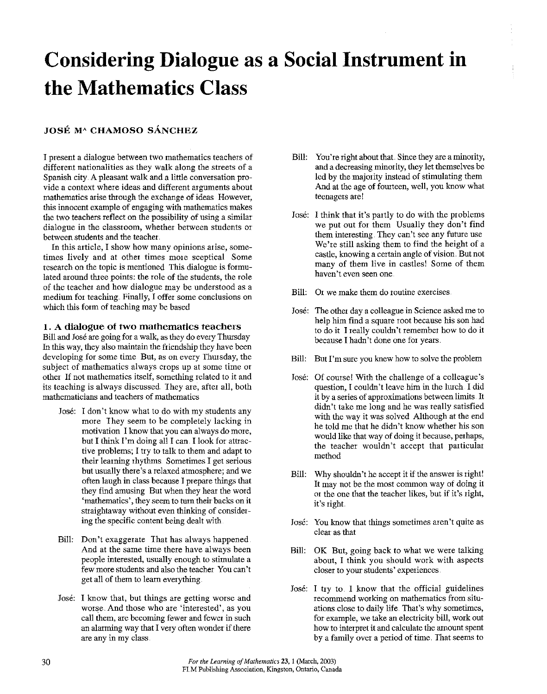# **Considering Dialogue as a Social Instrument in the Mathematics Class**

## **JOSE MA CHAMOSO SANCHEZ**

I present a dialogue between two mathematics teachers of different nationalities as they walk along the streets of a Spanish city. A pleasant walk and a little conversation pro**vide a context where ideas and different arguments about**  mathematics arise through the exchange of ideas However, this innocent example of engaging with mathematics makes the two teachers reflect on the possibility of using a sintilar **dialogue in the classroom, whether between students or**  between students and the teacher

**In this article, I show how many opinions arise, sometimes lively and at other times more sceptical Some**  research on the topic is mentioned This dialogue is fotmulated around three points: the role of the students, the role of the teacher and how dialogue may be understood as a medium for teaching. Finally, I offer some conclusions on which this fotm of teaching may be based

### **1. A dialogue of two mathematics teachers**

Bill and Jose are going fot a walk, as they do every Thursday In this way, they also maintain the friendship they have been developing for some time. But, as on every Thursday, the **subject of mathematics always crops up at some time or**  other If not mathematics itself, something related to it and its teaching is always discussed. They are, after all, both **mathematicians and teachers of mathematics** 

- Jose: I don't know what to do with my students any more They seem to be completely lacking in **motivation I know that you can always do more,**  but I think I'm doing all I can. I look for attractive problems; I try to talk to them and adapt to their learning rhythms. Sometimes I get serious but usually there's a relaxed attnosphere; and we often laugh in class because I prepare things that they find amusing But when they hear the word **'mathematics', they seem to turn their backs on it**  sttaightaway without even thinking of considering the specific content being dealt with
- Bill: Don't exaggerate That has always happened. And at the same time there have always been people interested, usually enough to stimulate a few more students and also the teacher You can't get all of them to learn everything.
- Jose: I know that, but things are getting worse and worse. And those who are 'interested', as you call them, are becoming fewer and fewer in such an alarming way that I very often wonder if there are any in my class.
- Bill: You're right about that. Since they are a minority, and a decreasing minority, they let themselves be led by the majority instead of stimulating them And at the age of fourteen, well, you know what **teenagers are!**
- Jose: I think that it's partly to do with the problems we put out for them Usually they don't find them interesting. They can't see any future use We're still asking them to find the height of a **castle, knowing a certain angle of vision. But not**  many of them live in castles! Some of them **haven't even seen one**
- Bill: Or we make them do routine exercises
- Jose: The other day a colleague in Science asked me to help him find a square root because his son had to do it I really couldn't remember how to do it because I hadn't done one for years.
- Bill: But I'm sure you knew how to solve the problem
- Jose: Of course! With the challenge of a colleague's question, I couldn't leave him in the lurch I did it by a series of approximations between lintits. It didn't take me long and he was really satisfied with the way it was solved Although at the end he told me that he didn't know whether his son would like that way of doing it because, perhaps, the teacher wouldn't accept that particular method
- Bill: Why shouldn't he accept it if the answer is tight! It may not be the most common way of doing it <sup>01</sup>the one that the teacher likes, but if it's tight, it's tight
- **Jose: You know that things sometimes aren't quite as**  clear as that
- Bill: OK But, going back to what we were talking about, I think you should work with aspects **closer to your students' experiences**
- Jose: I try to. I know that the official guidelines **recommend working on mathematics from situ**ations close to daily life. That's why sometimes, for example, we take an electricity bill, work out how to interpret it and calculate the amount spent by a family over a period of time. That seems to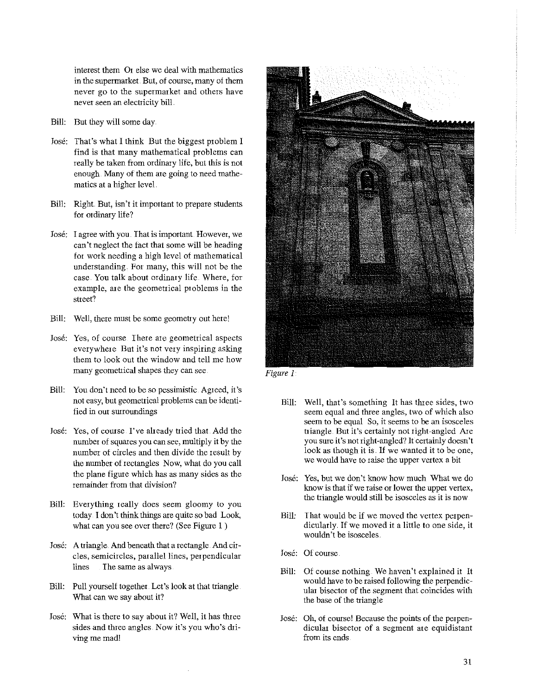**interest them Or else we deal with mathematics in the supermarket. But, of course, many of them never go to the supermarket and others have never seen an electricity bill** 

- Bill: But they will some day
- José: That's what I think But the biggest problem I find is that many mathematical problems can really be taken from ordinary life, but this is not enough. Many of them are going to need mathematics at a higher level
- Bill: Right But, isn't it important to prepare students for ordinary life?
- José: I agree with you. That is important. However, we can't neglect the fact that some will be heading for work needing a high level of mathematical understanding. For many, this will not be the case. You talk about ordinary life Where, for example, are the geometrical problems in the **street?**
- Bill: Well, there must be some geometry out here!
- **Jose: Yes, of course There are geometrical aspects everywhere But it's not very inspiring asking**  them to look out the window and tell me how many geometrical shapes they can see
- Bill: You don't need to be so pessimistic. Agreed, it's not easy, but geometrical problems can be identified in our surroundings
- Jose: Yes, of course I've already tried that. Add the number of squares you can see, multiply it by the number of circles and then divide the result by the number of rectangles Now, what do you call the plane figure which has as many sides as the **remainder from that division?**
- Bill: Everything really does seem gloomy to you today I don't think things are quite so bad Look, what can you see over there? (See Figure 1)
- Jose: A triangle. And beneath that a rectangle. And cir**cles, semicircles, parallel lines, perpendicular**  lines The same as always
- Bill: Pull yourself together. Let's look at that triangle What can we say about it?
- Jose: What is there to say about it? Well, it has three sides and three angles Now it's you who's driving me mad!



*Figure I* 

- Bill: Well, that's something It has three sides, two seem equal and three angles, two of which also **seem to be equal So, it seems to be an isosceles**  triangle. But it's certainly not right-angled Are you sure it's not right-angled? It certainly doesn't look as though it is. If we wanted it to be one, **we would have to raise the upper vertex a bit**
- Jose: Yes, but we don't know how much What we do **know is that if we raise or lower the upper vertex,**  the triangle would still be isosceles as it is now
- Bill: That would be if we moved the vertex perpendicularly. If we moved it a little to one side, it wouldn't be isosceles
- Jose: Of course
- Bill: Of course nothing We haven't explained it It would have to be raised following the perpendicular bisector of the segment that coincides with the base of the triangle
- Jose: Oh, of course! Because the points of the perpen**dicular bisector of a segment ate equidistant from its ends**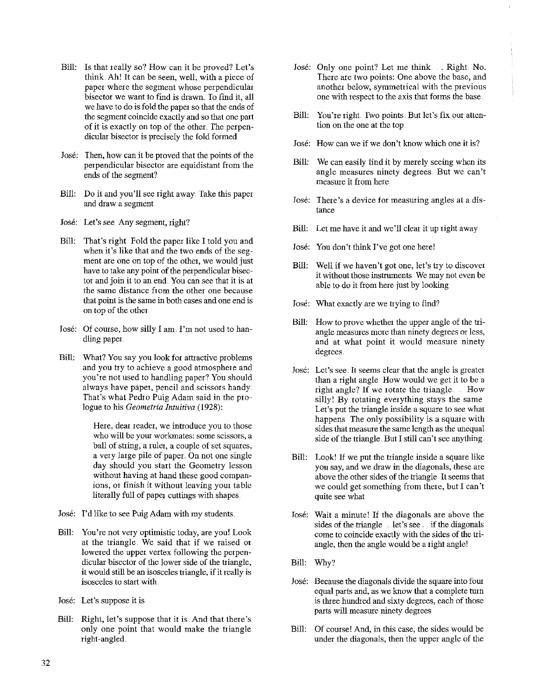- Bill: Is that really so? How can it be proved? Let's think Ah! It can be seen, well, with a piece of paper where the segment whose perpendicular bisector we want to find is drawn. To find it, all we have to do is fold the paper so that the ends of the segment coincide exactly and so that one part of it is exactly on top of the other. *The* perpendicular bisector is precisely the fold formed
- Jose: Then, how can it be proved that the points of the **perpendicular bisector are equidistant f:rom the**  ends of the segment?
- Bill: Do it and you'll see right away Take this paper and draw a segment
- Jose: Let's see Any segment, right?
- Bill: That's right Fold the paper like I told you and when it's like that and the two ends of the segment are one on top of the other, we would just have to take any point of the perpendicular bisector and join it to an end. You can see that it is at **the same distance from the other one because that point is the same in both cases and one end is**  on top of the other
- Jose: Of course, how silly I am I'm not used to handling paper
- Bill: What? You say you look for attractive problems and you try to achieve a good atmosphere and you're not used to handling paper? You should always have paper, pencil and scissors handy That's what Pedro Puig Adam said in the prologue to his *Geometria lntuitiva* (1928):

**Here, dear reader, we introduce you to those who will be your workrnates: some scissors, a**  ball of string, a ruler, a couple of set squares, a very large pile of paper. On not one single day should you start the Geometry lesson without having at hand these good compan**ions, or finish it without leaving your table**  literally full of paper cuttings with shapes

- Jose: I'd like to see Puig Adam with my students
- Bill: You're not very optimistic today, are you! Look at the triangle. We said that if we raised or lowered the upper vertex following the perpendicular bisector of the lower side of the triangle, it would still be an isosceles triangle, if it really is **isosceles to statt with**
- Jose: Let's suppose it is
- Bill: Right, let's suppose that it is And that there's only one point that would make the triangle right -angled
- José: Only one point? Let me think . Right No. There are two points: One above the base, and **another below, symmetrical with the previous**  one with respect to the axis that forms the base.
- Bill: You're right. Two points. But let's fix our attention on the one at the top
- **Jose: How can we if we don't know which one it is?**
- Bill: We can easily find it by merely seeing when its **angle measures ninety degrees But we can't measure it from here**
- **Jose: There's a device for measuring angles at a distance**
- Bill: Let me have it and we'll clear it up right away
- Jose: You don't think I've got one here!
- Bill: Well if we haven't got one, let's try to discover **it without those instruments We may not even be**  able to do it from here just by looking
- Jose: What exactly are we trying to find?
- Bill: How to prove whether the upper angle of the triangle measures more than ninety degrees or less, **and at what point it would measure ninety**  degrees.
- **Jose: Let's see It seems clear that the angle is greater**  than a right angle How would we get it to be a right angle? If we rotate the triangle. Bow silly! By rotating everything stays the same Let's put the triangle inside a square to see what happens The only possibility is a square with sides that measure the same length as the unequal side of the triangle. But I still can't see anything
- Bill: Look! If we put the triangle inside a square like **you say, and we &aw in the diagonals, these are**  above the other sides of the triangle It seems that we could get something from there, but I can't **quite see what**
- Jose: Wait a minute! If the diagonals are above the sides of the triangle let's see . if the diagonals **come to coincide exactly with the sides of the tri**angle, then the angle would be a right angle!
- Bill: Why?
- Jose: Because the diagonals divide the square into four equal parts and, as we know that a complete turn is three hundred and sixty degrees, each of those parts will measure ninety degrees
- Bill: Of course! And, in this case, the sides would be under the diagonals, then the upper angle of the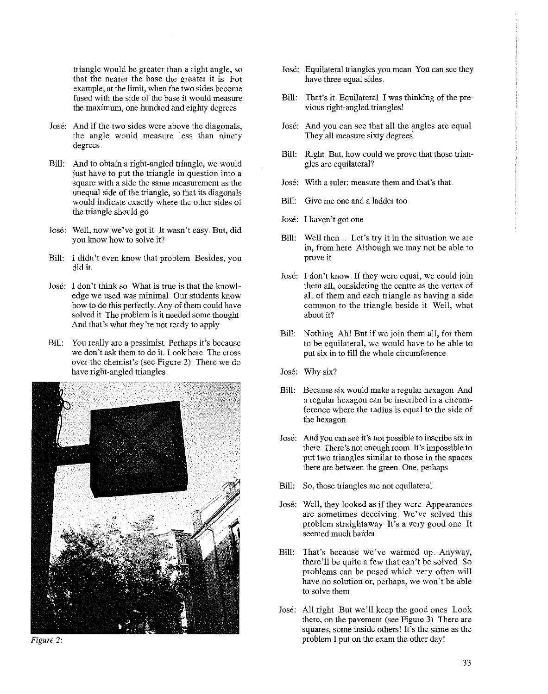triangle would be greater than a tight angle, so **that the neater the base the greater it is For example, at the limit, when the two sides become**  fused with the side of the base it would measure the maximm, one hundred and eighty degrees

- Jose: And if the two sides were above the diagonals, the angle would measure less than ninety degrees.
- Bill: And to obtain a tight-angled triangle, we would **just have to put the triangle in question into a square with a side the same measurement as the**  unequal side of the triangle, so that its diagonals would indicate exactly where the other sides of the triangle should go
- Jose: Well, now we've got it It wasn't easy But, did you know how to solve it?
- Bill: I didn't even know that problem Besides, you did it
- Jose: I don't think so What is true is that the knowl**edge we used was minimal Our students know**  how to do this perfectly. Any of them could have solved it The problem is it needed some thought And that's what they're not ready to apply
- Bill: You really are a pessimist Perhaps it's because we don't ask them to do it Look here The cross over the chemist's (see Figure 2) There we do have tight-angled triangles



*Figure* 2:

- Jose: Equilateral triangles you mean. You can see they have three equal sides
- Bill: That's it. Equilateral I was thinking of the previous right-angled triangles!
- Jose: And you can see that all the angles are equal They all measure sixty degrees
- Bill: Right But, how could we prove that those triangles are equilateral?
- Jose: With a ruler: measure them and that's that
- Bill: Give me one and a ladder too
- **Jose: I haven't got one**
- Bill: Well then ... Let's try it in the situation we are in, from here Although we may not be able to **prove it**
- Jose: I don't know. If they were equal, we could join **them all, considering the centre as the vertex of**  all of them and each triangle as having a side common to the triangle beside it Well, what about it?
- Bill: Nothing Ah! But if we join them all, fot them to be equilateral, we would have to be able to put six in to fill the whole circumference.
- Jose: Why six?
- Bill: Because six would make a regular hexagon And a regular hexagon can be inscribed in a circum**ference where the radius is equal to the side of**  the hexagon
- **Jose: And you can see it's not possible to inscribe six in**  there. There's not enough room It's impossible to **put two triangles similar to those in the spaces there are between the green. One, perhaps**
- Bill: So, those triangles are not equilateral.
- Jose: Well, they looked as if they were Appearances **are sometimes deceiving. We've solved this**  problem straightaway It's a very good one. It seemed much harder
- Bill: That's because we've warmed up. Anyway, there'll be quite a few that can't be solved So problems can be posed which very often will **have no solution or, perhaps, we won't be able to solve them**
- Jose: All right But we'll keep the good ones look there, on the pavement (see Figure 3) There are **squares, some inside others! It's the same as the**  problem I put on the exam the other day!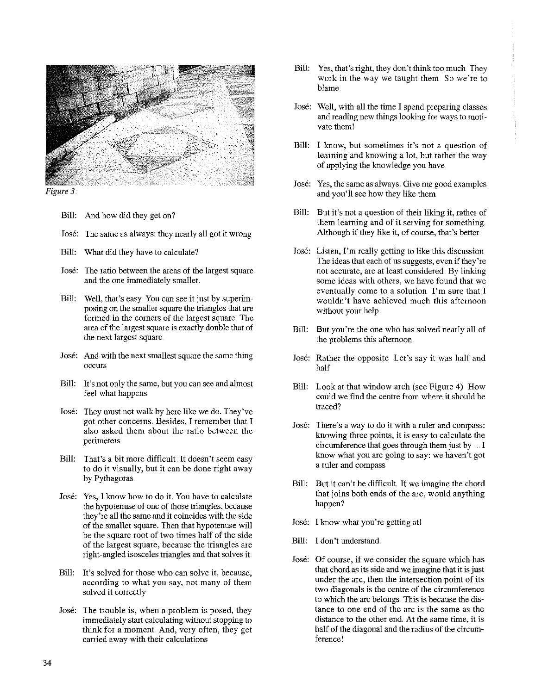

*Figure 3* 

- Bill: And how did they get on?
- Jose: The same as always: they nearly all got it wrong
- Bill: What did they have to calculate?
- Jose: The ratio between the areas of the largest square and the one immediately smaller.
- Bill: Well, that's easy You can see it just by superimposing on the smaller square the triangles that are formed in the corners of the largest square. The area of the largest square is exactly double that of the next largest square
- Jose: And with the next smallest square the same thing **occurs**
- Bill: It's not only the same, but you can see and almost feel what happens
- Jose: They must not walk by here like we do. They've **got other concerns. Besides, I remember that I**  also asked them about the ratio between the **perimeters**
- Bill: That's a bit more difficult. It doesn't seem easy to do it visually, but it can be done right away by Pythagoras
- Jose: Yes, I know how to do it. You have to calculate the hypotenuse of one of those triangles, because they're all the same and it coincides with the side of the smaller square. Then that hypotenuse will be the square root of two times half of the side of the largest square, because the triangles are right-angled isosceles triangles and that solves it
- Bill: It's solved for those who can solve it, because, according to what you say, not many of them solved it correctly
- Jose: The trouble is, when a problem is posed, they immediately start calculating without stopping to think for a moment. And, very often, they get **carried away with their calculations**
- Bill: Yes, that's right, they don't think too much They work in the way we taught them So we're to blame
- Jose: Well, with all the time I spend preparing classes and reading new things looking for ways to motivate them!
- **Bill: I know, but sometimes it's not a question of**  learning and knowing a lot, but rather the way of applying the knowledge you have
- **Jose: Yes, the same as always. Give me good examples**  and you'll see how they like them
- Bill: But it's not a question of their liking it, rather of them learning and of it serving for something Although if they like it, of course, that's better
- Jose: Listen, I'm really getting to like this discussion The ideas that each of us suggests, even if they're **not accurate, are at least considered. By linking some ideas with others, we have found that we eventually come to a solution I'm sure that I wouldn't have achieved much this afternoon**  without your help.
- Bill: But you're the one who has solved nearly all of the problems this afternoon
- Jose: Rather the opposite Let's say it was half and half
- Bill: Look at that window arch (see Figure 4) How could we find the centre from where it should be traced?
- **Jose: There's a way to do it with a ruler and compass:**  knowing three points, it is easy to calculate the circumference that goes through them just by  $\ldots$  I know what you are going to say: we haven't got **a ruler and compass**
- Bill: But it can't be difficult If we imagine the chord that joins both ends of the arc, would anything happen?
- Jose: I know what you're getting at!
- Bill: I don't understand
- **Jose: Of course, if we consider the square which has**  that chord as its side and we imagine that it is just **under the arc, then the intersection point of its two diagonals is the centre of the circumference**  to which the arc belongs. This is because the dis**tance to one end of the arc is the same as the distance to the other end. At the same time, it is**  half of the diagonal and the radius of the circum**ference!**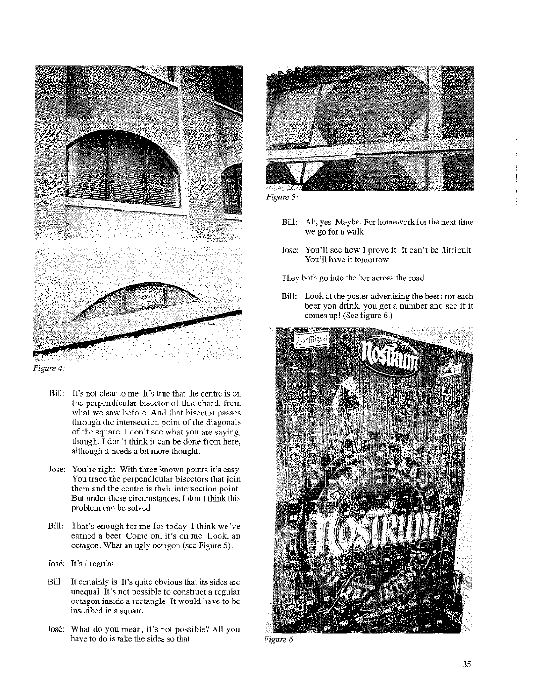

*Figure 4.* 

- **Bill: It's not clear to me It's true that the centre is on**  the perpendicular bisector of that chord, from what we saw before And that bisector passes through the intersection point of the diagonals **of the square I don't see what you are saying,**  though. I don't think it can be done from here, although it needs a bit more thought
- José: You're right With three known points it's easy. You trace the perpendicular bisectors that join **them and the centre is their intersection point But under these circumstances, I don't think this**  problem can be solved
- Bill: That's enough for me for today. I think we've **earned a beer Come on, it's on me. look, an**  octagon. What an ugly octagon (see Figure 5)
- Jose: It's irregular
- Bill: It certainly is. It's quite obvious that its sides are unequal. It's not possible to construct a regular **octagon inside a rectangle It would have to be inscribed in a square**
- Jose: What do you mean, it's not possible? All you have to do is take the sides so that





- Bill: Ah, yes. Maybe. For homework for the next time we go for a walk
- Jose: You'll see how I prove it. It can't be difficult **You'll have it tomorrow.**

They both go into the bar across the road

Bill: Look at the poster advertising the beer: for each **beer you drink, you get a number and see if it**  comes up! (See figure 6)



*Figure 6.*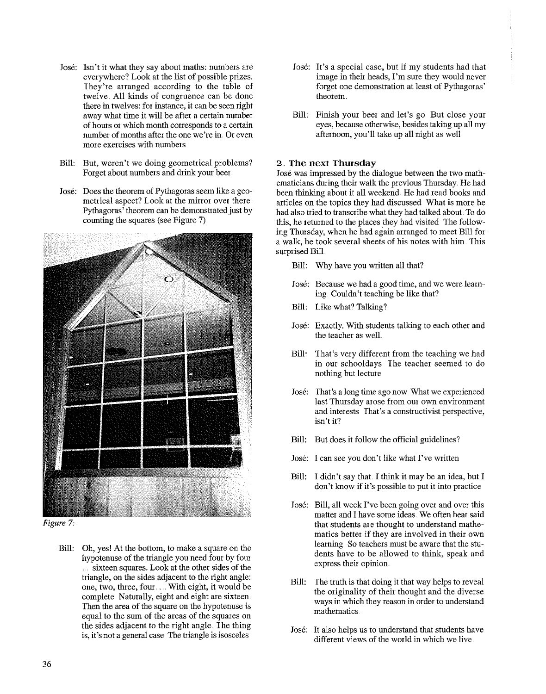- Jose: Isn't it what they say about maths: numbers are everywhere? Look at the list of possible prizes. They're arranged according to the table of twelve. All kinds of congruence can be done **there in twelves: for instance, it can be seen tight**  away what time it will be after a certain munber **of hours m which month corresponds to a certain number of months after the one we're in. Or even more exercises with numbers**
- Bill: But, weren't we doing geometrical problems? Forget about numbers and drink your beer
- Jose: Does the theorem of Pythagoras seem like a geometrical aspect? Look at the mirror over there. Pythagoras' theorem can be demonstrated just by counting the squares (see Figure 7).



*Figure* 7

Bill: Oh, yes! At the bottom, to make a square on the hypotenuse of the triangle you need four by fom sixteen squares. Look at the other sides of the triangle, on the sides adjacent to the right angle: one, two, three, four .... With eight, it would be complete Naturally, eight and eight are sixteen. Then the area of the square on the hypotenuse is equal to the sum of the areas of the squares on the sides adjacent to the right angle. The thing **is, it's not a general case The triangle is isosceles** 

- Jose: It's a special case, but if my students had that image in their heads, I'm sure they would never forget one demonstration at least of Pythagoras' **theorem.**
- Bill: Finish your beer and let's go But close yom eyes, because otherwise, besides taking up all my afternoon, you'll take up all night as well

#### 2 .. **Ihe next Thursday**

Jose was impressed by the dialogue between the two mathematicians during their walk the previous Thursday. He had been thinking about it all weekend. He had read books and articles on the topics they had discussed What is more he had also tried to transcribe what they had talked about To do this, he returned to the places they had visited The following Thursday, when he had again arranged to meet Bill for a walk, he took several sheets of his notes with him This surprised Bill.

- Bill: Why have you written all that?
- **Jose: Because we had a good time, and we were learn**ing. Couldn't teaching be like that?
- Bill: Like what? Talking?
- Jose: Exactly. With students talking to each other and the teacher as well
- Bill: That's very different from the teaching we had **in our schooldays The teacher seemed to do**  nothing but lecture
- **Jose: That's a long time ago now What we experienced**  last Thursday arose from our own environment **and interests That's a constiuctivist perspective, isn't it?**
- Bill: But does it follow the official guidelines?
- Jose: I can see you don't like what I've written
- Bill: I didn't say that. I think it may be an idea, but I **don't know if it's possible to put it into practice**
- Jose: Bill, all week I've been going over and over *this*  matter and I have some ideas. We often hear said that students are thought to understand mathe**matics better if they are involved in their own learning So teachers must be aware that the stu**dents have to be allowed to think, speak and **express their opinion**
- Bill: The truth is that doing it that way helps to reveal the originality of their thought and the diverse **ways in which they reason in order to understand mathematics**
- Jose: It also helps us to understand that students have different views of the world in which we live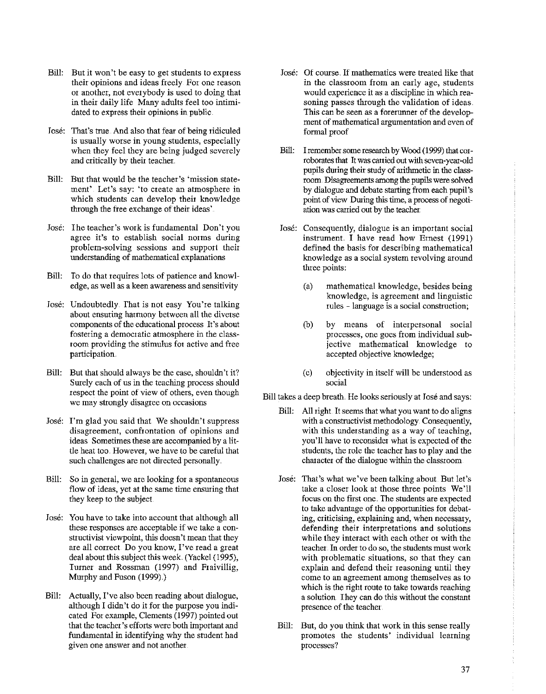- Bill: But it won't be easy to get students to express their opinions and ideas freely For one reason or another, not everybody is used to doing that in their daily life Many adults feel too intimidated to express their opinions in public.
- Jose: That's true. And also that fear of being ridiculed is usually worse in young students, especially when they feel they are being judged severely and critically by their teacher
- Bill: But that would be the teacher's 'mission statement'. Let's say: 'to create an atmosphere in which students can develop their knowledge through the free exchange of their ideas'
- Jose: I he teacher's work is fundamental Don't you agree it's to establish social norms during problem-solving sessions and support their understanding of mathematical explanations
- Bill: To do that requires lots of patience and knowl**edge, as well as a keen awareness and sensitivity**
- Jose: Undoubtedly. That is not easy You're talking about ensuring harmony between all the diverse **components of the educational process It's about fostering a democratic atmosphere in the class**room providing the stimulus for active and free participation
- Bill: But that should always be the case, shouldn't it? Surely each of us in the teaching process should respect the point of view of others, even though **we may strongly disagree on occasions**
- Jose: I'm glad you said that We shouldn't suppress **disagreement, confrontation of opinions and**  ideas Sometimes these are accompanied by a little heat too. However, we have to be careful that such challenges are not directed personally.
- Bill: So in general, we are looking for a spontaneous **flow of ideas, yet at the same time ensuring that**  they keep to the subject
- Jose: You have to take into account that although all these responses are acceptable if we take a con**structivist viewpoint, this doesn't mean that they are all couect Do you know, I've read a great**  deal about this subject this week (Yackel (1995), Turner and Rossman (1997) and Fraivillig, Murphy and Fuson (1999).)
- Bill: Actually, I've also been reading about dialogue, although I didn't do it for the purpose you indicated For example, Clements (1997) pointed out that the teacher's efforts were both important and fundamental in identifying why the student had **given one answer and not another**
- Jose: Of course. If mathematics were treated like that **in the classroom from an early age, students**  would experience it as a discipline in which reasoning passes through the validation of ideas This can be seen as a forerunner of the develop**ment of mathematical argumentation and even of**  formal proof
- Bill: I remember some research by Wood (1999) that corroborates that It was carried out with seven-year'-Old pupils during their study of arithmetic in the classroom. Disagreements among the pupils were solved by dialogue and debate starting from each pupil's point of view During this time, a process of negotiation was carried out by the teacher
- Jose: Consequently, dialogue is an important social instrument. I have read how Ernest (1991) defined the basis for describing mathematical knowledge as a social system revolving around three points:
	- (a) mathematical knowledge, besides being knowledge, is agreement and linguistic **rules - language is a social constiuction;**
	- (b) by means of interpersonal social **processes, one goes from individual sub**jective mathematical knowledge to accepted objective knowledge;
	- (c) objectivity in itself will be understood as **social**

Bill takes a deep breath He looks seriously at Jose and says:

- Bill: All right It seems that what you want to do aligns with a constructivist methodology. Consequently, with this understanding as a way of teaching, you'll have to reconsider what is expected of the students, the role the teacher has to play and the character of the dialogue within the classroom
- José: That's what we've been talking about. But let's take a closer look at those three points We'll focus on the first one. Ihe students are expected to take advantage of the opportunities for debat**ing, ciiticising, explaining and, when necessary,**  defending their interpretations and solutions while they interact with each other or with the **teacher. In order to do so, the students must work**  with problematic situations, so that they can explain and defend their reasoning until they **come to an agreement among themselves as to**  which is the right route to take towards reaching a solution. They can do this without the constant **presence of the teacher**
- Bill: But, do you think that work in this sense really promotes the students' individual learning **processes?**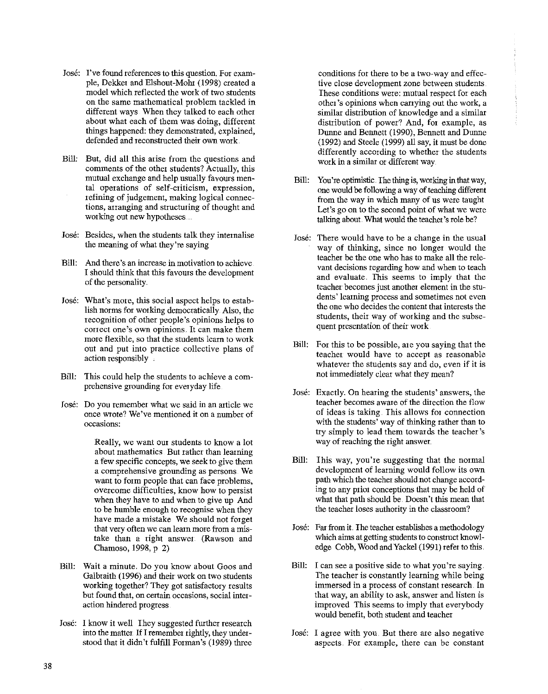- 
- José: I've found references to this question. For exam-<br>ple, Dekker and Elshout-Moht (1998) created a two-way and effec-<br>tive close development zone between students. ple, Dekker and Elshout-Moht (1998) created a model which reflected the work of two students model which reflected the work of two students These conditions were: mutual respect for each on the same mathematical problem tackled in the vork. a point other's opinions when carrying out the work. on the same mathematical ptoblem tackled in **other's opinions when carrying out the work, a**  different ways. When they talked to each other similar distribution of knowledge and a similar distribution of hower? And, for example, as  $\frac{1}{2}$  distribution of nower? And, for example, as about what each of them was doing, different distribution of power? And, for example, as <br>things happened: they demonstrated, explained, **Dunne and Bennet (1990)** Bennett and Dunne things happened: they demonstrated, explained,  $\frac{D$ unne and Bennett (1990), Bennett and Dunne<br>defended and reconstructed their own work. (1992) and Steele (1999) all say it must be done
- comments of the other students? Actually, this
- José: Besides, when the students talk they internalise José: There would have to be a change in the usual<br>the meaning of what they're saying<br>way of thinking since no longer would the
- 
- recognition of other people's opinions helps to students, their way of working<br>correct one's own opinions. It can make them quent presentation of their work. correct one's own opinions. It can make them more flexible, so that the students learn to work<br>out and put into practice collective plans of Bill: For this to be possible, are you saying that the
- Bill: This could help the students to achieve a com-<br>not immediately clear what they mean? prehensive grounding fot everyday life
- 

about mathematics But rather than learning want to form people that can face problems, when they have to and when to give up And have made a mistake We should not forget

- working together? They got satisfactory results
- José: I know it well They suggested further research

 $(1992)$  and Steele  $(1999)$  all say, it must be done Bill: But, did all this arise from the questions and differently according to whether the students Bill: But, did all this arise from the questions and work in a similar or different way

- mutual exchange and help usually favours men-<br>
Bill: You're optimistic. The thing is, working in that way,<br>
one would be following a way of teaching different tal operations of self-criticism, expression,  $\frac{1}{2}$  one would be following a way of teaching different refining of judgement, making logical connecrefining of judgement, making logical connec-<br>tions, arranging and structuring of thought and<br>working out new hypotheses....<br>talking about What would the teacher's role be? talking about. What would the teacher's role be?
- way of thinking, since no longer would the Bill: And there's an increase in motivation to achieve **teacher be the one who has to make all the rele-**<br>vant decisions regarding how and when to teach I should think that this favours the development<br>of the personality and evaluate. This seems to imply that the<br>teacher becomes just another element in the stu-José: What's mote, this social aspect helps to estab-<br>
ligh norms for working demogratically. Also, the **dentified** the one who decides the content that interests the lish norms for working democratically. Also, the the one who decides the content that interests the recognition of other people's opinions belns to students, their way of working and the subse
	- action responsibly teacher would have to accept as reasonable **whatever the students say and do, even if it is**
- **Jose:** Exactly. On heating the students' answers, the Jose: **Do you remember what we said in an article we** teacher becomes aware of the dhection the flow **once wrote? We've mentioned it on a number of** of ideas is taking. This allows fot connection occasions:<br> **occasions:** with the students' way of thinking rather than to try simply to lead them towards the teacher's Really, we want our students to know a lot way of reaching the right answer.
	- a few specific concepts, we seek to give them Bill: This way, you're suggesting that the normal **a comprehensive grounding as persons. We** development of learning would follow its own **overcome difficulties, know how to persist ing to any prior conceptions that may be held of** when they have to and when to give up And what that path should be. Doesn't this mean that to be hmnble enough to recognise when they **the teacher loses authority in the classroom?**
	- **that very often we can learn more from a mis-** Jose: Far from it. The teacher establishes a methodology take than a right answer (Rawson and which aims at getting students to construct knowl-Chamoso, 1998, p 2) edge Cobb, Wood and Yackel (1991) refer to this
- Bill: Wait a minute. Do you know about Goos and Bill: **I can see a positive side to what you're saying**  Galbraith (1996) and their work on two students The teacher is constantly learning while being<br>working together? They got satisfactory results immersed in a process of constant research. In **but found that, on certain occasions, social inter-** that way, an ability to ask, answer and listen is action hindered progress improved This seems to imply that everybody would benefit, both student and teacher
	- into the matter. If I remember rightly, they under-<br> **Jose:** I agree with you. But there ate also negative stood that it didn't fulfill Forman's (1989) three **aspects. For example, there can be constant**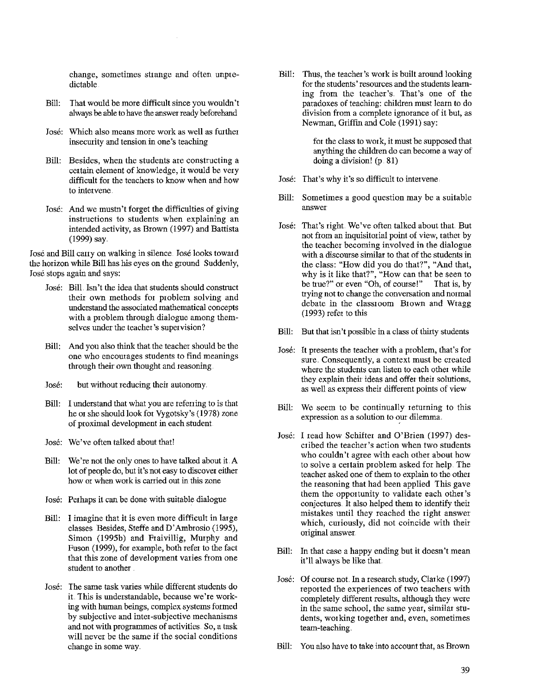**change, sometimes strange and often unpre**dictable

- Bill: That would be more difficult since you wouldn't always be able to have the answer ready beforehand
- Jose: Which also means more work as well as futther insecurity and tension in one's teaching
- Bill: Besides, when the students are constructing a certain element of knowledge, it would be very difficult for the teachers to know when and how **to intervene**
- Jose: And we mustn't forget the difficulties of giving **instructions to students when explaining an**  intended activity, as Brown (1997) and Battista (1999) say.

Jose and Bill canyon walking in silence. Jose looks toward the horizon while Bill has his eyes on the ground Suddenly, Jose stops again and says:

- Jose: Bill. Isn't the idea that students should consttuct their own methods for problem solving and understand the associated mathematical concepts with a problem through dialogue among them**selves under the teacher's supervision?**
- Bill: And you also think that the teacher should be the **one who encourages students to find meanings**  through their own thought and reasoning
- Jose: but without reducing their autonomy
- Bill: I understand that what you are refening to is that he or she should look for Vygotsky's (1978) zone of proximal development in each student
- Jose: We've often talked about that!
- Bill: We're not the only ones to have talked about it. A lot of people do, but it's not easy to discover either **how 01 when work is cauied out in this zone**
- Jose: Perhaps it can be done with suitable dialogue
- Bill: I imagine that it is even more difficult in large classes Besides, Steffe and D'Ambrosio (1995), Simon (1995b) and Fraivillig, Murphy and Fuson (1999), for example, both refer to the fact **that this zone of development varies from one**  student to another
- José: The same task varies while different students do it. This is understandable, because we're working with human beings, complex systems formed by subjective and inter-subjective mechanisms and not with programmes of activities. So, a task will never be the same if the social conditions change in some way.

Bill: Thus, the teacher's work is built around looking for the students' resomces and the students learning from the teacher's. That's one of the paradoxes of teaching: children must learn to do **division from a complete ignorance of it but, as**  Newman, Griffin and Cole (1991) say:

> for the class to work, it must be supposed that anything the children do can become a way of doing a division! (p. 81)

- Jose: That's why it's so difficult to intervene
- Bill: Sometimes a good question may be a suitable **answer**
- Jose: That's right. We've often talked about that But not from an inquisitorial point of view, rather by the teacher becoming involved in the dialogue with a discomse similar to that of the students in the class: "How did you do that?", "And that, why is it like that?", "How can that be seen to **be t:Iue?" or even "Oh, of comse!" That is, by**  trying not to change the conversation and normal debate in the classroom Brown and Wragg (1993) refer to this
- Bill: But that isn't possible in a class of thirty students
- Jose: It presents the teacher with a problem, that's for **sure. Consequently, a context must be created**  where the students can listen to each other while they explain their ideas and offer their solutions, **as well as express their different points of view**
- Bill: We seem to be continually returning to this  $expression$  as a solution to our dilemma.
- Jose: I read how Schifter and O'Brien (1997) des**cribed the teacher's action when two students**  who couldn't agree with each other about how to solve a certain problem asked for help. The teacher asked one of them to explain to the other the reasoning that had been applied This gave them the opportunity to validate each other's conjectures. It also helped them to identify their mistakes until they reached the tight answer which, curiously, did not coincide with their original answer
- Bill: In that case a happy ending but it doesn't mean it'll always be like that
- José: Of course not. In a research study, Clarke (1997) reported the experiences of two teachers with completely different results, although they were **in the same school, the same year, similar students, wotking together and, even, sometimes**  team-teaching
- Bill: You also have to take into account that, as Brown